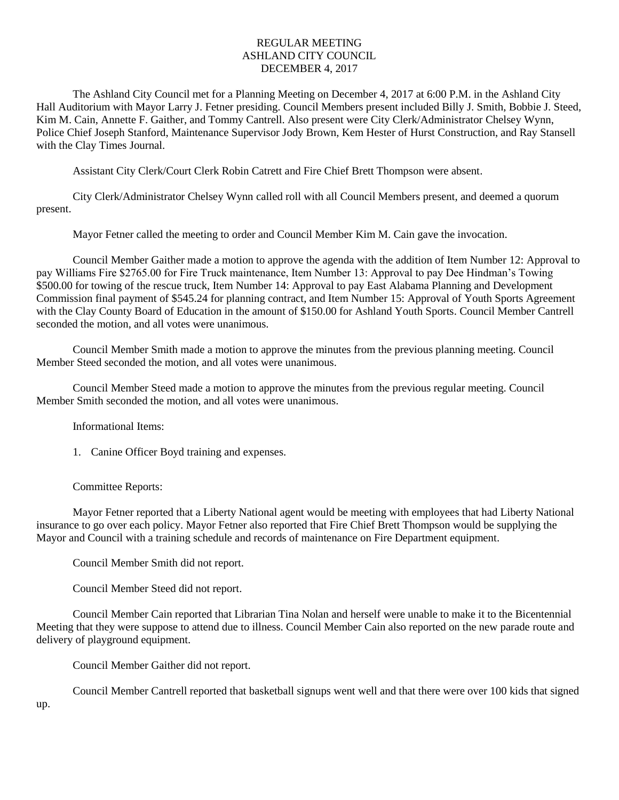## REGULAR MEETING ASHLAND CITY COUNCIL DECEMBER 4, 2017

The Ashland City Council met for a Planning Meeting on December 4, 2017 at 6:00 P.M. in the Ashland City Hall Auditorium with Mayor Larry J. Fetner presiding. Council Members present included Billy J. Smith, Bobbie J. Steed, Kim M. Cain, Annette F. Gaither, and Tommy Cantrell. Also present were City Clerk/Administrator Chelsey Wynn, Police Chief Joseph Stanford, Maintenance Supervisor Jody Brown, Kem Hester of Hurst Construction, and Ray Stansell with the Clay Times Journal.

Assistant City Clerk/Court Clerk Robin Catrett and Fire Chief Brett Thompson were absent.

City Clerk/Administrator Chelsey Wynn called roll with all Council Members present, and deemed a quorum present.

Mayor Fetner called the meeting to order and Council Member Kim M. Cain gave the invocation.

Council Member Gaither made a motion to approve the agenda with the addition of Item Number 12: Approval to pay Williams Fire \$2765.00 for Fire Truck maintenance, Item Number 13: Approval to pay Dee Hindman's Towing \$500.00 for towing of the rescue truck, Item Number 14: Approval to pay East Alabama Planning and Development Commission final payment of \$545.24 for planning contract, and Item Number 15: Approval of Youth Sports Agreement with the Clay County Board of Education in the amount of \$150.00 for Ashland Youth Sports. Council Member Cantrell seconded the motion, and all votes were unanimous.

Council Member Smith made a motion to approve the minutes from the previous planning meeting. Council Member Steed seconded the motion, and all votes were unanimous.

Council Member Steed made a motion to approve the minutes from the previous regular meeting. Council Member Smith seconded the motion, and all votes were unanimous.

Informational Items:

1. Canine Officer Boyd training and expenses.

Committee Reports:

Mayor Fetner reported that a Liberty National agent would be meeting with employees that had Liberty National insurance to go over each policy. Mayor Fetner also reported that Fire Chief Brett Thompson would be supplying the Mayor and Council with a training schedule and records of maintenance on Fire Department equipment.

Council Member Smith did not report.

Council Member Steed did not report.

Council Member Cain reported that Librarian Tina Nolan and herself were unable to make it to the Bicentennial Meeting that they were suppose to attend due to illness. Council Member Cain also reported on the new parade route and delivery of playground equipment.

Council Member Gaither did not report.

Council Member Cantrell reported that basketball signups went well and that there were over 100 kids that signed

up.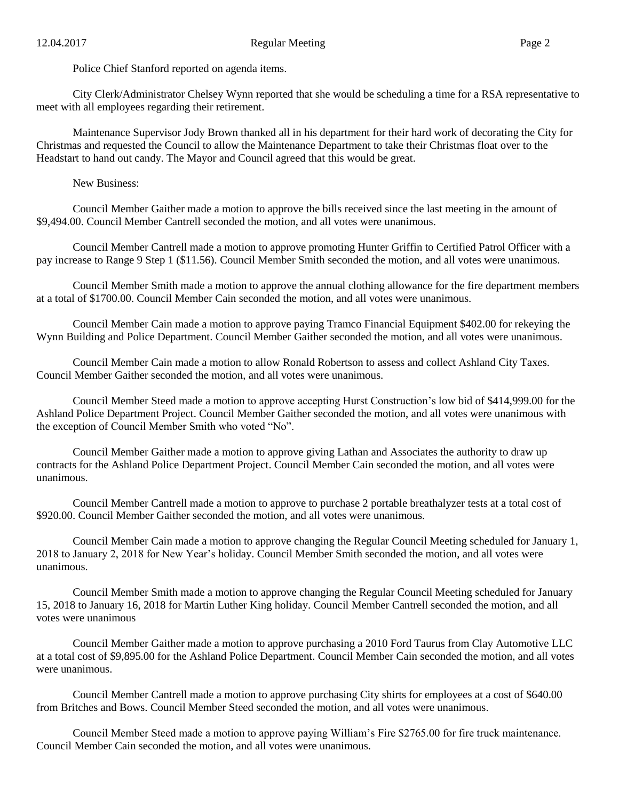Police Chief Stanford reported on agenda items.

City Clerk/Administrator Chelsey Wynn reported that she would be scheduling a time for a RSA representative to meet with all employees regarding their retirement.

Maintenance Supervisor Jody Brown thanked all in his department for their hard work of decorating the City for Christmas and requested the Council to allow the Maintenance Department to take their Christmas float over to the Headstart to hand out candy. The Mayor and Council agreed that this would be great.

New Business:

Council Member Gaither made a motion to approve the bills received since the last meeting in the amount of \$9,494.00. Council Member Cantrell seconded the motion, and all votes were unanimous.

Council Member Cantrell made a motion to approve promoting Hunter Griffin to Certified Patrol Officer with a pay increase to Range 9 Step 1 (\$11.56). Council Member Smith seconded the motion, and all votes were unanimous.

Council Member Smith made a motion to approve the annual clothing allowance for the fire department members at a total of \$1700.00. Council Member Cain seconded the motion, and all votes were unanimous.

Council Member Cain made a motion to approve paying Tramco Financial Equipment \$402.00 for rekeying the Wynn Building and Police Department. Council Member Gaither seconded the motion, and all votes were unanimous.

Council Member Cain made a motion to allow Ronald Robertson to assess and collect Ashland City Taxes. Council Member Gaither seconded the motion, and all votes were unanimous.

Council Member Steed made a motion to approve accepting Hurst Construction's low bid of \$414,999.00 for the Ashland Police Department Project. Council Member Gaither seconded the motion, and all votes were unanimous with the exception of Council Member Smith who voted "No".

Council Member Gaither made a motion to approve giving Lathan and Associates the authority to draw up contracts for the Ashland Police Department Project. Council Member Cain seconded the motion, and all votes were unanimous.

Council Member Cantrell made a motion to approve to purchase 2 portable breathalyzer tests at a total cost of \$920.00. Council Member Gaither seconded the motion, and all votes were unanimous.

Council Member Cain made a motion to approve changing the Regular Council Meeting scheduled for January 1, 2018 to January 2, 2018 for New Year's holiday. Council Member Smith seconded the motion, and all votes were unanimous.

Council Member Smith made a motion to approve changing the Regular Council Meeting scheduled for January 15, 2018 to January 16, 2018 for Martin Luther King holiday. Council Member Cantrell seconded the motion, and all votes were unanimous

Council Member Gaither made a motion to approve purchasing a 2010 Ford Taurus from Clay Automotive LLC at a total cost of \$9,895.00 for the Ashland Police Department. Council Member Cain seconded the motion, and all votes were unanimous.

Council Member Cantrell made a motion to approve purchasing City shirts for employees at a cost of \$640.00 from Britches and Bows. Council Member Steed seconded the motion, and all votes were unanimous.

Council Member Steed made a motion to approve paying William's Fire \$2765.00 for fire truck maintenance. Council Member Cain seconded the motion, and all votes were unanimous.